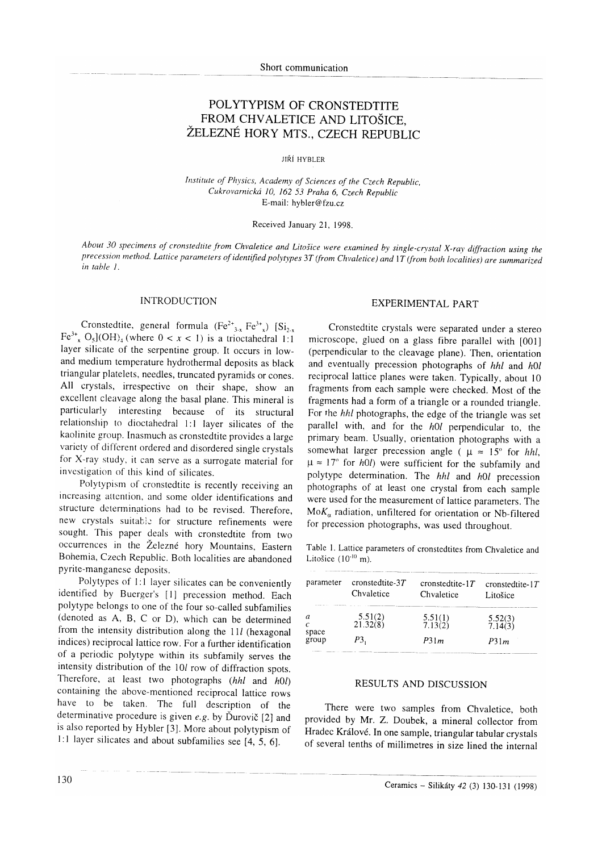# POLYTYPISM OF CRONSTEDTITE FROM CHVALETICE AND LIToŠICE, ŽELEZNÉ HORY MTS., CZECH REPUBLIC

JIŘÍ HYBLER

Institute of Physics, Academy of Sciences of the Czech Republic, Cukrovarnickó ]0, 162 53 Praha 6, Czech Republic E-mail: hybler@fzu.cz

## Received January 21. 1998.

About 30 specimens of cronstedtite from Chvaletice and Litošice were examined by single-crystal X-ray diffraction using the precession method. Lattice parameters of identified polytypes 3T (from Chvaletice) and 1T (from both localities) are summarized in table I.

#### INTRODUCTION

Cronstedtite, general formula  $(Fe^{2+}_{3x}Fe^{3+}_{x})$  [Si<sub>2x</sub>]  $Fe^{3+}$ ,  $O_5$ ](OH)<sub>4</sub> (where  $0 < x < 1$ ) is a trioctahedral 1:1 layer silicate of the serpentine group. It occurs in lowand medium temperature hydrothermal deposits as black triangular platelets, needles, truncated pyramids or cones. All crystals, irrespective on their shape, show an excellent cleavage along the basal plane. This mineral is particularly interesting because of its structural relationship to dioctahedral l:l layer silicates of the kaolinite group. Inasmuch as cronstedtite provides a large variety of different ordered and disordered single crystals for X-ray study, it can serve as a surrogate material for invcstigation of this kind of silicates.

Polytypism of cronstedtite is recently receiving an increasing attcntion, and some older identifications and structure dcterminations had to be revised. Therefore, new crystals suitable for structure refinements were sought. This paper deals with cronstedtite from two occurrences in the Železné hory Mountains, Eastern Bohemia, Czech Republic. Both localities are abandoned pyrite-manganesc deposits.

Polytypes of 1:l layer silicates can be conveniently identified by Buerger's [1] precession method. Each polytype belongs to one of the four so-called subfamilies (denoted as A, B, C or D), which can be determined from the intensity distribution along the  $11l$  (hexagonal indices) reciprocal lattice row. For a further identification of a periodic polytype within its subfamily serves the intensity distribution of the l0/ row of diffraction spots. Therefore, at least two photographs  $(hhl$  and  $h0l$ ) containing the above-mentioned reciprocal lattice rows have to be taken. The full description of the determinative procedure is given e.g. by Ďurovič  $[2]$  and is also reported by Hybler [3]. More abour polytypism of l:1 layer silicates and about subfamilies see [4, S, 6].

#### EXPERIMENTAL PART

Cronstedtite crystals were separated under a stereo microscope, glued on a glass fibre parallel with [001] (perpendicular to the cleavage plane). 'fhen, orientation and eventually precession photographs of hht and hOI reciprocal lattice planes were taken. Typically, about l0 fragments from each sample were checked. Most of the fragments had a form of a triangle or a rounded triangle. For the hhl photographs, the edge of the triangle was set parallel with, and for the  $h\Omega$  perpendicular to, the primary beam. Usually, orientation photographs with a somewhat larger precession angle ( $\mu \approx 15^{\circ}$  for hhl,  $\mu \approx 17^{\circ}$  for *h0l*) were sufficient for the subfamily and polytype determination. The hhl and h0l precession photographs of at least one crystal from each sample were used for the measurement of lattice parameters. The  $MoK<sub>α</sub>$  radiation, unfiltered for orientation or Nb-filtered for precession photographs, was used throughout.

Table l. Lattice parameters of cronstedtites from chvaletice and Litošice  $(10^{-10} \text{ m})$ .

| parameter      | $\text{constedite-3}T$<br>Chvaletice | cronsted tite- $1T$<br>Chvaletice | cronsted tite- $1T$<br>Litošice |
|----------------|--------------------------------------|-----------------------------------|---------------------------------|
| space<br>group | $5.51(2)$<br>21.32(8)                | $\frac{5.51(1)}{7.13(2)}$         | $\frac{5.52(3)}{7.14(3)}$       |
|                | Р3.                                  | P31m                              | P31m                            |

## RESULTS AND DISCUSSION

There were two samples from Chvaletice, both provided by Mr. Z. Doubek, a mineral collector from Hradec Králové. In one sample, triangular tabular crystals of several tenths of miilimetres in size lined the internal